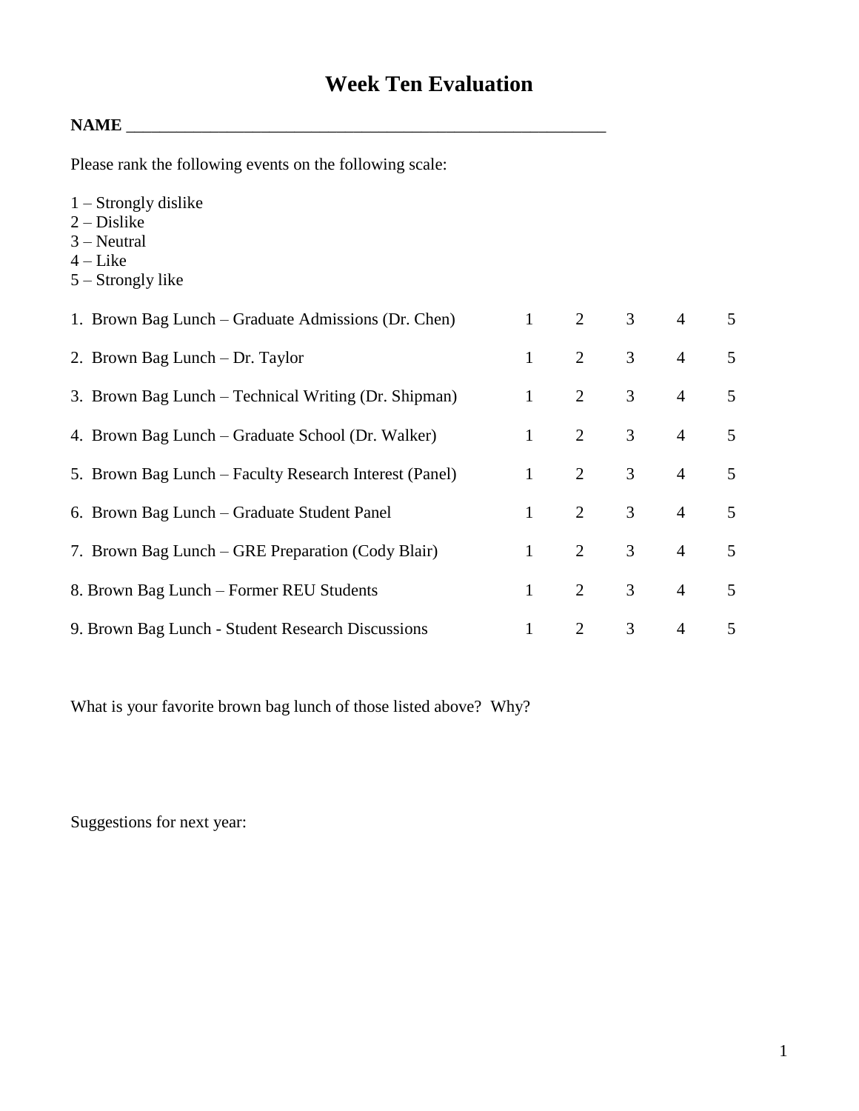## **Week Ten Evaluation**

## **NAME** \_\_\_\_\_\_\_\_\_\_\_\_\_\_\_\_\_\_\_\_\_\_\_\_\_\_\_\_\_\_\_\_\_\_\_\_\_\_\_\_\_\_\_\_\_\_\_\_\_\_\_\_\_\_\_\_\_

Please rank the following events on the following scale:

- 1 Strongly dislike
- $2 Distike$
- 3 Neutral
- $4$  Like
- 5 Strongly like

| 1. Brown Bag Lunch – Graduate Admissions (Dr. Chen)    |              | 2              | 3 | $\overline{4}$ | 5              |
|--------------------------------------------------------|--------------|----------------|---|----------------|----------------|
| 2. Brown Bag Lunch – Dr. Taylor                        | $\mathbf{1}$ | $\overline{2}$ | 3 | $\overline{4}$ | 5              |
| 3. Brown Bag Lunch – Technical Writing (Dr. Shipman)   | $\mathbf{1}$ | 2              | 3 | $\overline{4}$ | 5              |
| 4. Brown Bag Lunch – Graduate School (Dr. Walker)      | $\mathbf{1}$ | 2              | 3 | $\overline{4}$ | 5              |
| 5. Brown Bag Lunch – Faculty Research Interest (Panel) | $\mathbf{1}$ | $\overline{2}$ | 3 | $\overline{4}$ | 5              |
| 6. Brown Bag Lunch – Graduate Student Panel            | $\mathbf{1}$ | 2              | 3 | $\overline{4}$ | $\mathfrak{H}$ |
| 7. Brown Bag Lunch – GRE Preparation (Cody Blair)      | $\mathbf{1}$ | $\overline{2}$ | 3 | $\overline{4}$ | 5              |
| 8. Brown Bag Lunch – Former REU Students               | 1            | 2              | 3 | $\overline{4}$ | 5              |
| 9. Brown Bag Lunch - Student Research Discussions      |              | 2              | 3 | $\overline{4}$ | 5              |

What is your favorite brown bag lunch of those listed above? Why?

Suggestions for next year: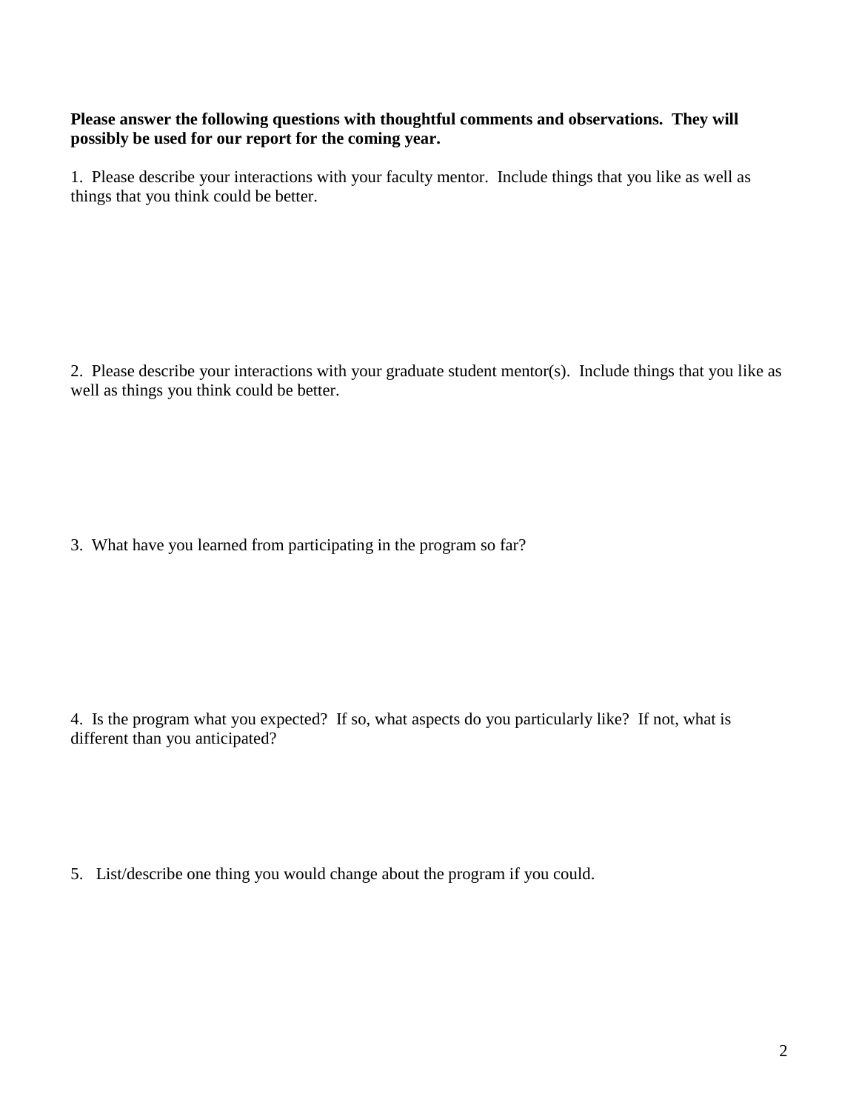## **Please answer the following questions with thoughtful comments and observations. They will possibly be used for our report for the coming year.**

1. Please describe your interactions with your faculty mentor. Include things that you like as well as things that you think could be better.

2. Please describe your interactions with your graduate student mentor(s). Include things that you like as well as things you think could be better.

3. What have you learned from participating in the program so far?

4. Is the program what you expected? If so, what aspects do you particularly like? If not, what is different than you anticipated?

5. List/describe one thing you would change about the program if you could.